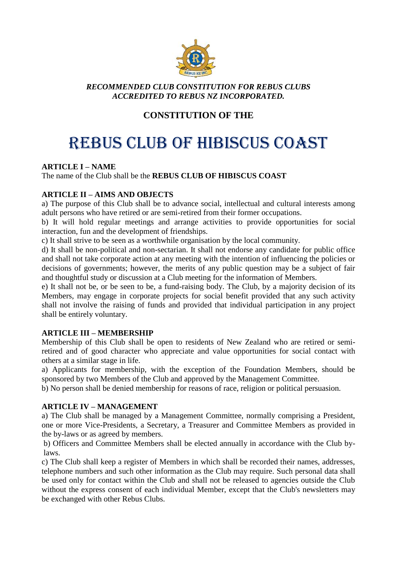

# *RECOMMENDED CLUB CONSTITUTION FOR REBUS CLUBS ACCREDITED TO REBUS NZ INCORPORATED.*

# **CONSTITUTION OF THE**

# REBUS CLUB OF HIBISCUS COAST

# **ARTICLE I – NAME**

# The name of the Club shall be the **REBUS CLUB OF HIBISCUS COAST**

# **ARTICLE II – AIMS AND OBJECTS**

a) The purpose of this Club shall be to advance social, intellectual and cultural interests among adult persons who have retired or are semi-retired from their former occupations.

b) It will hold regular meetings and arrange activities to provide opportunities for social interaction, fun and the development of friendships.

c) It shall strive to be seen as a worthwhile organisation by the local community.

d) It shall be non-political and non-sectarian. It shall not endorse any candidate for public office and shall not take corporate action at any meeting with the intention of influencing the policies or decisions of governments; however, the merits of any public question may be a subject of fair and thoughtful study or discussion at a Club meeting for the information of Members.

e) It shall not be, or be seen to be, a fund-raising body. The Club, by a majority decision of its Members, may engage in corporate projects for social benefit provided that any such activity shall not involve the raising of funds and provided that individual participation in any project shall be entirely voluntary.

#### **ARTICLE III – MEMBERSHIP**

Membership of this Club shall be open to residents of New Zealand who are retired or semiretired and of good character who appreciate and value opportunities for social contact with others at a similar stage in life.

a) Applicants for membership, with the exception of the Foundation Members, should be sponsored by two Members of the Club and approved by the Management Committee.

b) No person shall be denied membership for reasons of race, religion or political persuasion.

#### **ARTICLE IV – MANAGEMENT**

a) The Club shall be managed by a Management Committee, normally comprising a President, one or more Vice-Presidents, a Secretary, a Treasurer and Committee Members as provided in the by-laws or as agreed by members.

b) Officers and Committee Members shall be elected annually in accordance with the Club bylaws.

c) The Club shall keep a register of Members in which shall be recorded their names, addresses, telephone numbers and such other information as the Club may require. Such personal data shall be used only for contact within the Club and shall not be released to agencies outside the Club without the express consent of each individual Member, except that the Club's newsletters may be exchanged with other Rebus Clubs.